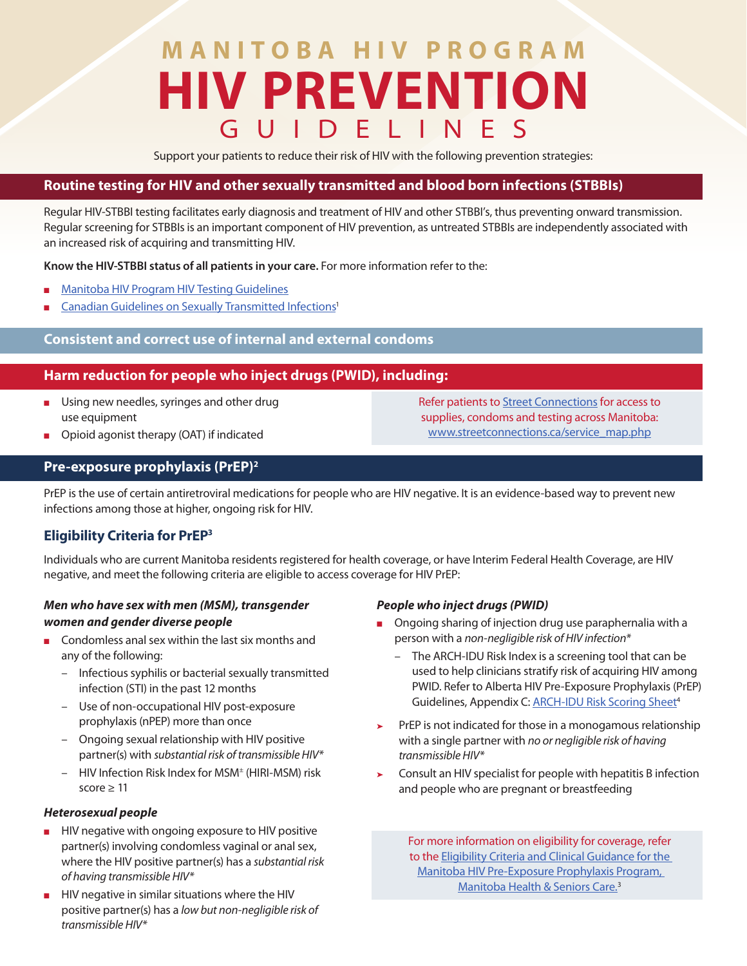# **MANITOBA HIV PROGRAM HIV PREVENTION**  GUIDELINES

Support your patients to reduce their risk of HIV with the following prevention strategies:

#### **Routine testing for HIV and other sexually transmitted and blood born infections (STBBIs)**

Regular HIV-STBBI testing facilitates early diagnosis and treatment of HIV and other STBBI's, thus preventing onward transmission. Regular screening for STBBIs is an important component of HIV prevention, as untreated STBBIs are independently associated with an increased risk of acquiring and transmitting HIV.

**Know the HIV-STBBI status of all patients in your care.** For more information refer to the:

- **[Manitoba HIV Program HIV Testing Guidelines](https://mbhiv.ca/wp-content/uploads/2021/11/43155-NC-MB-HIV-Testing-Guideline-v2.pdf)**
- [Canadian Guidelines on Sexually Transmitted Infections](https://www.canada.ca/en/public-health/services/infectious-diseases/sexual-health-sexually-transmitted-infections/canadian-guidelines/sexually-transmitted-infections.html)<sup>1</sup>

## **Consistent and correct use of internal and external condoms**

## **Harm reduction for people who inject drugs (PWID), including:**

- Using new needles, syringes and other drug use equipment
- Opioid agonist therapy (OAT) if indicated

Refer patients to [Street Connections](https://streetconnections.ca/service_map.php) for access to supplies, condoms and testing across Manitoba: [www.streetconnections.ca/service\\_map.php](http://www.streetconnections.ca/service_map.php)

## **Pre-exposure prophylaxis (PrEP)2**

PrEP is the use of certain antiretroviral medications for people who are HIV negative. It is an evidence-based way to prevent new infections among those at higher, ongoing risk for HIV.

## **Eligibility Criteria for PrEP3**

Individuals who are current Manitoba residents registered for health coverage, or have Interim Federal Health Coverage, are HIV negative, and meet the following criteria are eligible to access coverage for HIV PrEP:

## *Men who have sex with men (MSM), transgender women and gender diverse people*

- Condomless anal sex within the last six months and any of the following:
	- Infectious syphilis or bacterial sexually transmitted infection (STI) in the past 12 months
	- Use of non-occupational HIV post-exposure prophylaxis (nPEP) more than once
	- Ongoing sexual relationship with HIV positive partner(s) with *substantial risk of transmissible HIV\**
	- HIV Infection Risk Index for MSM± (HIRI-MSM) risk score  $> 11$

#### *Heterosexual people*

- HIV negative with ongoing exposure to HIV positive partner(s) involving condomless vaginal or anal sex, where the HIV positive partner(s) has a *substantial risk of having transmissible HIV\**
- HIV negative in similar situations where the HIV positive partner(s) has a *low but non-negligible risk of transmissible HIV\**

#### *People who inject drugs (PWID)*

- Ongoing sharing of injection drug use paraphernalia with a person with a *non-negligible risk of HIV infection\** 
	- The ARCH-IDU Risk Index is a screening tool that can be used to help clinicians stratify risk of acquiring HIV among PWID. Refer to Alberta HIV Pre-Exposure Prophylaxis (PrEP) Guidelines, Appendix C: ARCH-IDU Risk Scoring Sheet<sup>4</sup>
- PrEP is not indicated for those in a monogamous relationship with a single partner with *no or negligible risk of having transmissible HIV\**
- Consult an HIV specialist for people with hepatitis B infection and people who are pregnant or breastfeeding

For more information on eligibility for coverage, refer to the [Eligibility Criteria and Clinical Guidance for the](https://www.gov.mb.ca/health/publichealth/cdc/docs/prep_eligibility_criteria.pdf)  [Manitoba HIV Pre-Exposure Prophylaxis Program,](https://www.gov.mb.ca/health/publichealth/cdc/docs/prep_eligibility_criteria.pdf)  [Manitoba Health & Seniors Care.](https://www.gov.mb.ca/health/publichealth/cdc/docs/prep_eligibility_criteria.pdf)3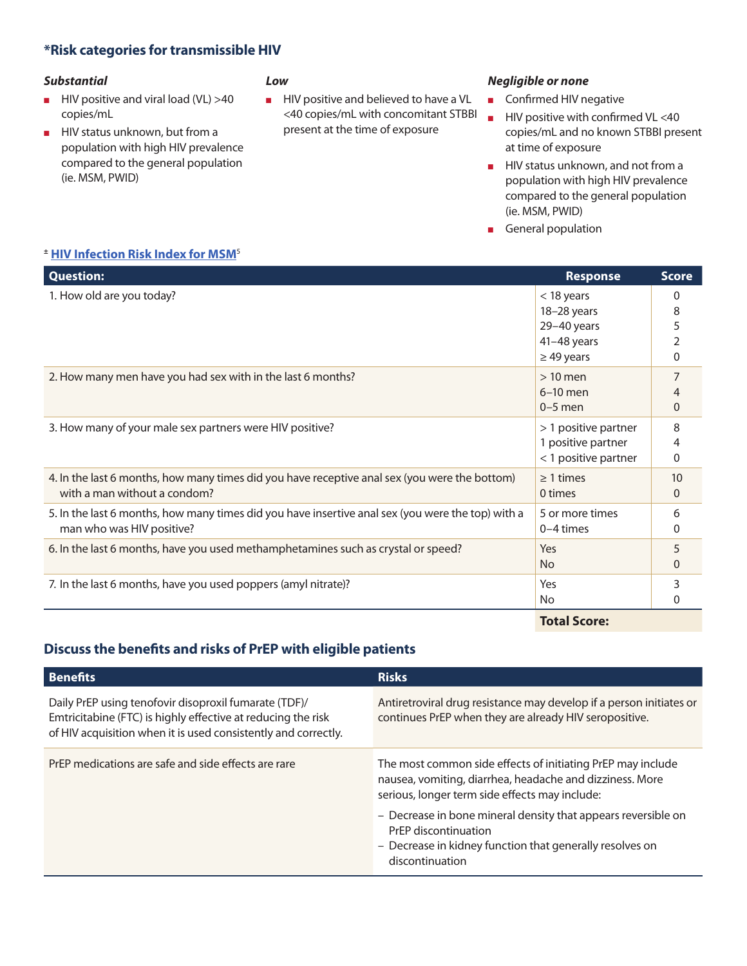# **\*Risk categories for transmissible HIV**

#### *Substantial*

- HIV positive and viral load (VL) >40 copies/mL
- HIV status unknown, but from a population with high HIV prevalence compared to the general population (ie. MSM, PWID)

#### *Low*

■ HIV positive and believed to have a VL <40 copies/mL with concomitant STBBI present at the time of exposure

#### *Negligible or none*

- Confirmed HIV negative
- HIV positive with confirmed VL <40 copies/mL and no known STBBI present at time of exposure
- HIV status unknown, and not from a population with high HIV prevalence compared to the general population (ie. MSM, PWID)
- General population

#### *<sup>±</sup>* **[HIV Infection Risk Index for MSM](https://www.cmaj.ca/content/cmaj/suppl/2017/11/21/189.47.E1448.DC1/170494-guide-1-at.pdf)**<sup>5</sup>

| <b>Question:</b>                                                                                                               | <b>Response</b>                                                              | <b>Score</b>                 |
|--------------------------------------------------------------------------------------------------------------------------------|------------------------------------------------------------------------------|------------------------------|
| 1. How old are you today?                                                                                                      | $<$ 18 years<br>18-28 years<br>29-40 years<br>41-48 years<br>$\geq$ 49 years | $\Omega$<br>8<br>5<br>2<br>0 |
| 2. How many men have you had sex with in the last 6 months?                                                                    | $>10$ men<br>$6-10$ men<br>$0-5$ men                                         | 0                            |
| 3. How many of your male sex partners were HIV positive?                                                                       | > 1 positive partner<br>1 positive partner<br>< 1 positive partner           | 8<br>0                       |
| 4. In the last 6 months, how many times did you have receptive anal sex (you were the bottom)<br>with a man without a condom?  | $\geq 1$ times<br>0 times                                                    | 10<br>0                      |
| 5. In the last 6 months, how many times did you have insertive anal sex (you were the top) with a<br>man who was HIV positive? | 5 or more times<br>$0-4$ times                                               | 6<br>0                       |
| 6. In the last 6 months, have you used methamphetamines such as crystal or speed?                                              | Yes<br>N <sub>o</sub>                                                        | 5<br>0                       |
| 7. In the last 6 months, have you used poppers (amyl nitrate)?                                                                 | Yes<br>No                                                                    | 3<br>0                       |
|                                                                                                                                | <b>Total Score:</b>                                                          |                              |

**Total Score:**

# **Discuss the benefits and risks of PrEP with eligible patients**

| <b>Benefits</b>                                                                                                                                                                         | <b>Risks</b>                                                                                                                                                              |
|-----------------------------------------------------------------------------------------------------------------------------------------------------------------------------------------|---------------------------------------------------------------------------------------------------------------------------------------------------------------------------|
| Daily PrEP using tenofovir disoproxil fumarate (TDF)/<br>Emtricitabine (FTC) is highly effective at reducing the risk<br>of HIV acquisition when it is used consistently and correctly. | Antiretroviral drug resistance may develop if a person initiates or<br>continues PrEP when they are already HIV seropositive.                                             |
| PrEP medications are safe and side effects are rare                                                                                                                                     | The most common side effects of initiating PrEP may include<br>nausea, vomiting, diarrhea, headache and dizziness. More<br>serious, longer term side effects may include: |
|                                                                                                                                                                                         | - Decrease in bone mineral density that appears reversible on<br>PrEP discontinuation<br>- Decrease in kidney function that generally resolves on<br>discontinuation      |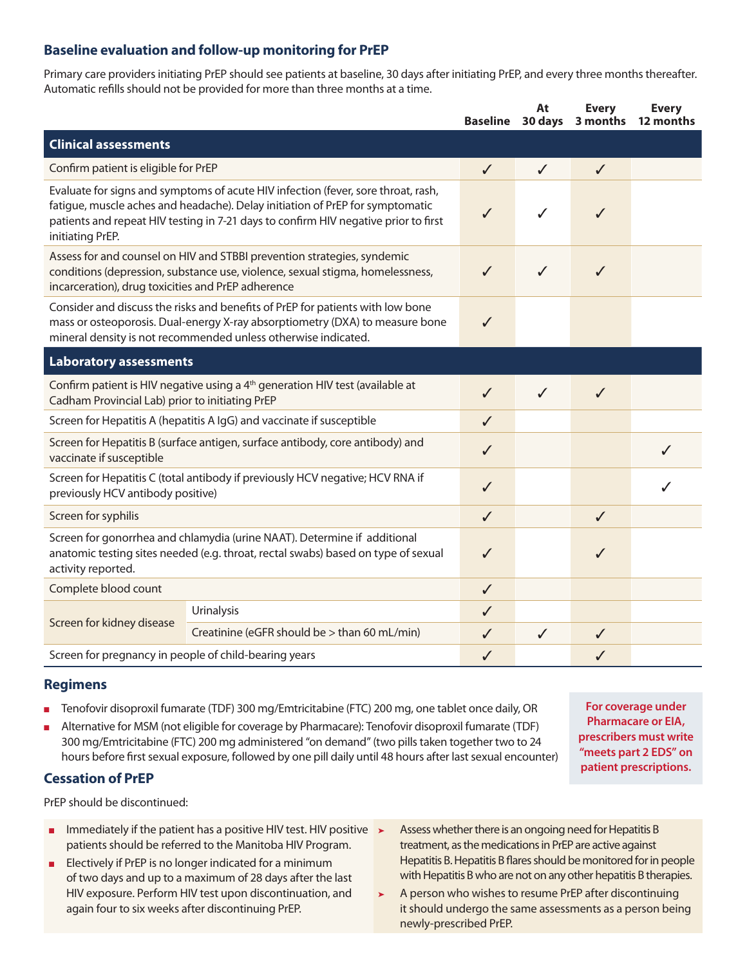# **Baseline evaluation and follow-up monitoring for PrEP**

Primary care providers initiating PrEP should see patients at baseline, 30 days after initiating PrEP, and every three months thereafter. Automatic refills should not be provided for more than three months at a time.

|                                                                                                                                                                                                                |                                                                                                                                                                                                                                                           | <b>Baseline</b> | At<br>30 days | <b>Every</b><br>3 months | <b>Every</b><br>12 months |
|----------------------------------------------------------------------------------------------------------------------------------------------------------------------------------------------------------------|-----------------------------------------------------------------------------------------------------------------------------------------------------------------------------------------------------------------------------------------------------------|-----------------|---------------|--------------------------|---------------------------|
| <b>Clinical assessments</b>                                                                                                                                                                                    |                                                                                                                                                                                                                                                           |                 |               |                          |                           |
| Confirm patient is eligible for PrEP                                                                                                                                                                           |                                                                                                                                                                                                                                                           | $\checkmark$    | ✓             | $\checkmark$             |                           |
| initiating PrEP.                                                                                                                                                                                               | Evaluate for signs and symptoms of acute HIV infection (fever, sore throat, rash,<br>fatigue, muscle aches and headache). Delay initiation of PrEP for symptomatic<br>patients and repeat HIV testing in 7-21 days to confirm HIV negative prior to first | ✓               | ✓             | ✓                        |                           |
| Assess for and counsel on HIV and STBBI prevention strategies, syndemic<br>conditions (depression, substance use, violence, sexual stigma, homelessness,<br>incarceration), drug toxicities and PrEP adherence |                                                                                                                                                                                                                                                           | $\checkmark$    | ✓             | $\checkmark$             |                           |
|                                                                                                                                                                                                                | Consider and discuss the risks and benefits of PrEP for patients with low bone<br>mass or osteoporosis. Dual-energy X-ray absorptiometry (DXA) to measure bone<br>mineral density is not recommended unless otherwise indicated.                          | ✓               |               |                          |                           |
| <b>Laboratory assessments</b>                                                                                                                                                                                  |                                                                                                                                                                                                                                                           |                 |               |                          |                           |
| Confirm patient is HIV negative using a 4 <sup>th</sup> generation HIV test (available at<br>Cadham Provincial Lab) prior to initiating PrEP                                                                   |                                                                                                                                                                                                                                                           | $\checkmark$    | ✓             | $\checkmark$             |                           |
| Screen for Hepatitis A (hepatitis A IgG) and vaccinate if susceptible                                                                                                                                          |                                                                                                                                                                                                                                                           | ✓               |               |                          |                           |
| Screen for Hepatitis B (surface antigen, surface antibody, core antibody) and<br>vaccinate if susceptible                                                                                                      |                                                                                                                                                                                                                                                           | ✓               |               |                          | ✓                         |
| Screen for Hepatitis C (total antibody if previously HCV negative; HCV RNA if<br>previously HCV antibody positive)                                                                                             |                                                                                                                                                                                                                                                           | $\checkmark$    |               |                          |                           |
| Screen for syphilis                                                                                                                                                                                            |                                                                                                                                                                                                                                                           | ✓               |               | J                        |                           |
| Screen for gonorrhea and chlamydia (urine NAAT). Determine if additional<br>anatomic testing sites needed (e.g. throat, rectal swabs) based on type of sexual<br>activity reported.                            |                                                                                                                                                                                                                                                           | ✓               |               | ✓                        |                           |
| Complete blood count                                                                                                                                                                                           |                                                                                                                                                                                                                                                           | ✓               |               |                          |                           |
| Screen for kidney disease                                                                                                                                                                                      | Urinalysis                                                                                                                                                                                                                                                | ✓               |               |                          |                           |
|                                                                                                                                                                                                                | Creatinine (eGFR should be > than 60 mL/min)                                                                                                                                                                                                              | ✓               | $\checkmark$  | $\checkmark$             |                           |
| Screen for pregnancy in people of child-bearing years                                                                                                                                                          |                                                                                                                                                                                                                                                           | ✓               |               |                          |                           |

## **Regimens**

- Tenofovir disoproxil fumarate (TDF) 300 mg/Emtricitabine (FTC) 200 mg, one tablet once daily, OR
- Alternative for MSM (not eligible for coverage by Pharmacare): Tenofovir disoproxil fumarate (TDF) 300 mg/Emtricitabine (FTC) 200 mg administered "on demand" (two pills taken together two to 24 hours before first sexual exposure, followed by one pill daily until 48 hours after last sexual encounter)

**For coverage under Pharmacare or EIA, prescribers must write "meets part 2 EDS" on patient prescriptions.**

# **Cessation of PrEP**

PrEP should be discontinued:

- Immediately if the patient has a positive HIV test. HIV positive  $\rightarrow$ patients should be referred to the Manitoba HIV Program.
- Electively if PrEP is no longer indicated for a minimum of two days and up to a maximum of 28 days after the last HIV exposure. Perform HIV test upon discontinuation, and again four to six weeks after discontinuing PrEP.
- Assess whether there is an ongoing need for Hepatitis B treatment, as the medications in PrEP are active against Hepatitis B. Hepatitis B flares should be monitored for in people with Hepatitis B who are not on any other hepatitis B therapies.
- ➤ A person who wishes to resume PrEP after discontinuing it should undergo the same assessments as a person being newly-prescribed PrEP.